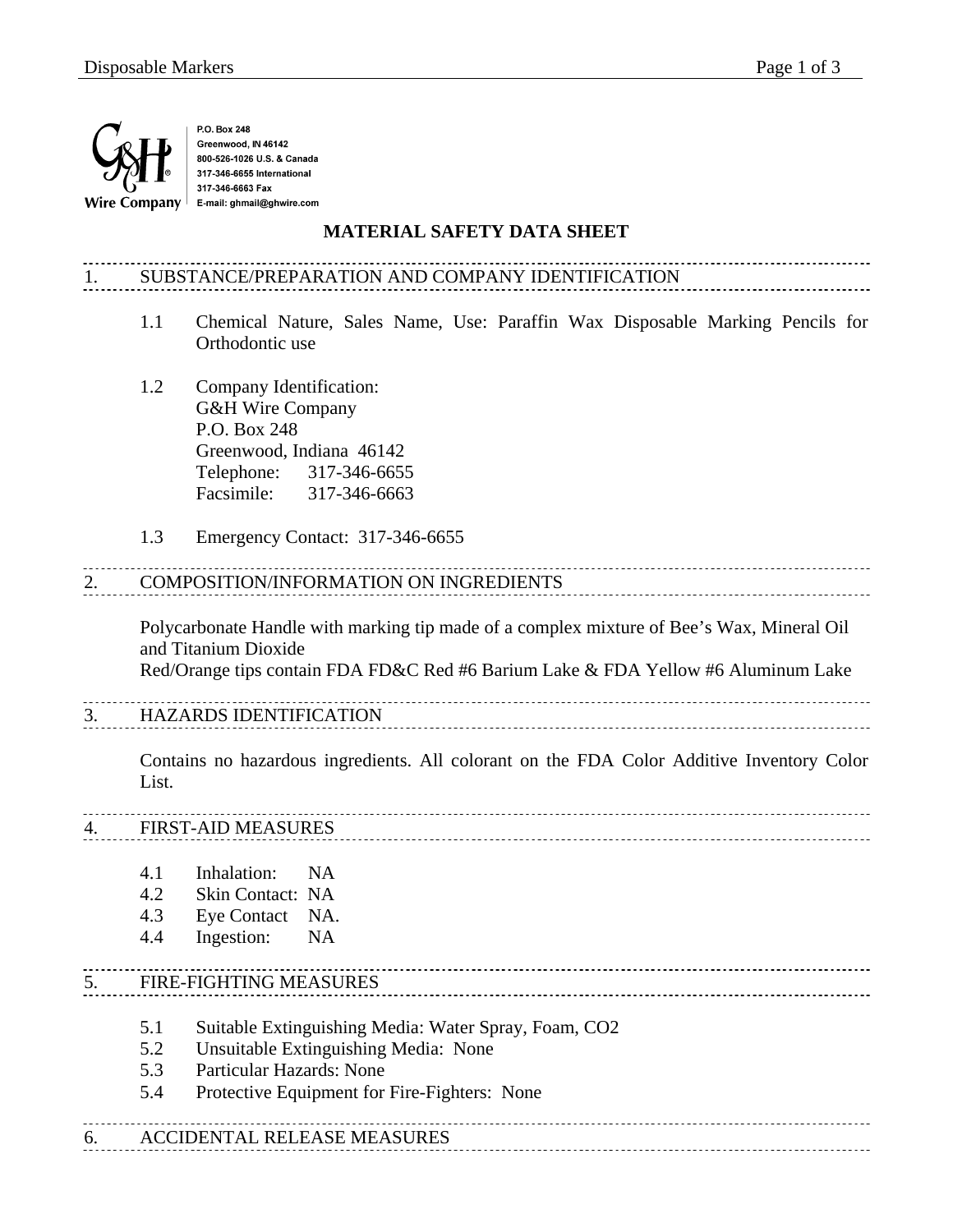

P.O. Box 248 Greenwood, IN 46142 800-526-1026 U.S. & Canada 317-346-6655 International 317-346-6663 Fax E-mail: ghmail@ghwire.com

#### **MATERIAL SAFETY DATA SHEET**

# 1. SUBSTANCE/PREPARATION AND COMPANY IDENTIFICATION

- 1.1 Chemical Nature, Sales Name, Use: Paraffin Wax Disposable Marking Pencils for Orthodontic use
- 1.2 Company Identification: G&H Wire Company P.O. Box 248 Greenwood, Indiana 46142 Telephone: 317-346-6655 Facsimile: 317-346-6663
- 1.3 Emergency Contact: 317-346-6655

## 2. COMPOSITION/INFORMATION ON INGREDIENTS

Polycarbonate Handle with marking tip made of a complex mixture of Bee's Wax, Mineral Oil and Titanium Dioxide

Red/Orange tips contain FDA FD&C Red #6 Barium Lake & FDA Yellow #6 Aluminum Lake

# 3. HAZARDS IDENTIFICATION

Contains no hazardous ingredients. All colorant on the FDA Color Additive Inventory Color List.

# 4. FIRST-AID MEASURES

- 4.1 Inhalation: NA
- 4.2 Skin Contact: NA
- 4.3 Eye Contact NA.
- 4.4 Ingestion: NA

## 5. FIRE-FIGHTING MEASURES

- 5.1 Suitable Extinguishing Media: Water Spray, Foam, CO2
- 5.2 Unsuitable Extinguishing Media: None
- 5.3 Particular Hazards: None
- 5.4 Protective Equipment for Fire-Fighters: None

## 6. ACCIDENTAL RELEASE MEASURES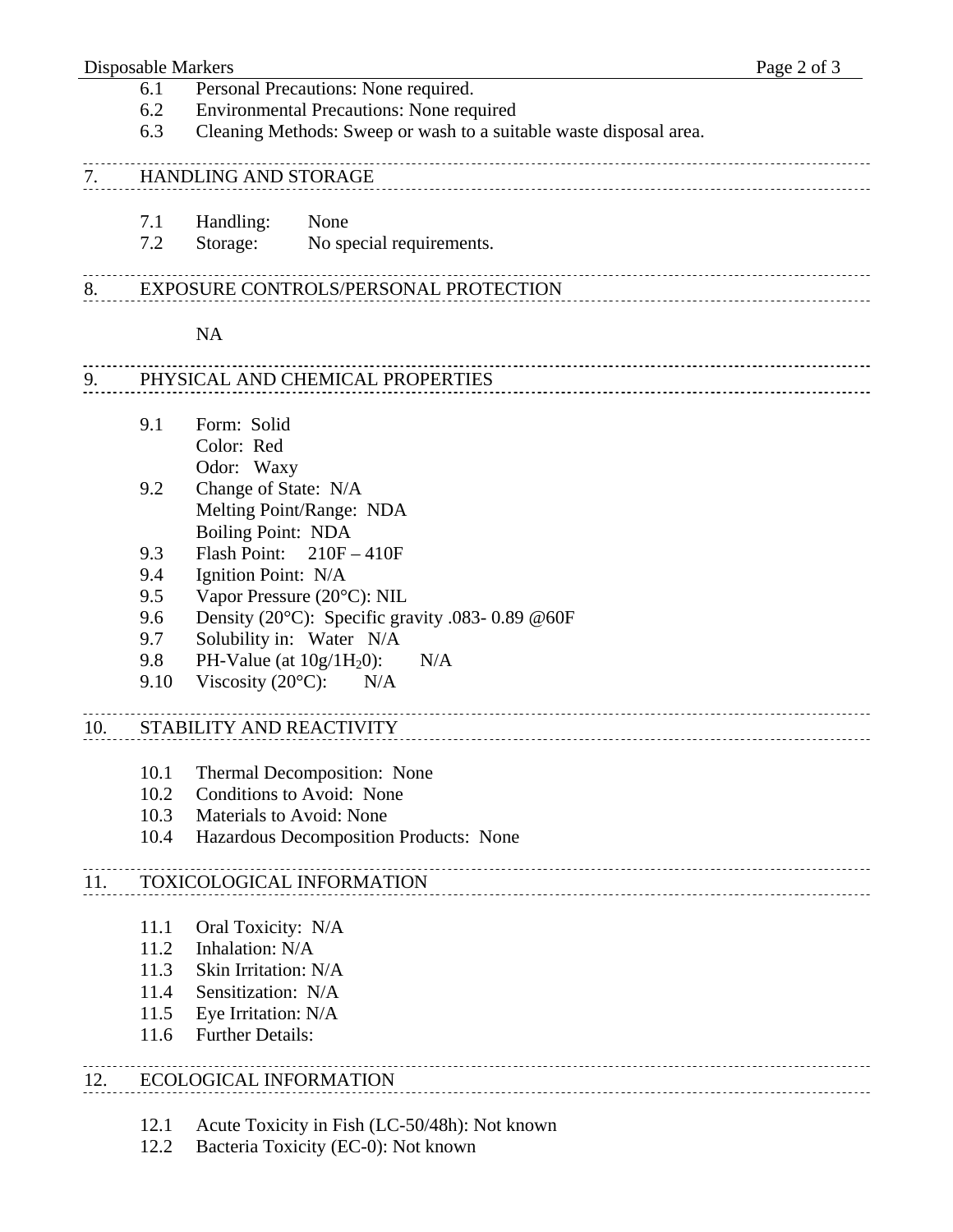#### Disposable Markers Page 2 of 3

- 6.1 Personal Precautions: None required.
- 6.2 Environmental Precautions: None required
- 6.3 Cleaning Methods: Sweep or wash to a suitable waste disposal area.

### 7. HANDLING AND STORAGE

- 7.1 Handling: None
- 7.2 Storage: No special requirements.

## 8. EXPOSURE CONTROLS/PERSONAL PROTECTION

#### NA

# 9. PHYSICAL AND CHEMICAL PROPERTIES

- 9.1 Form: Solid Color: Red Odor: Waxy
- 9.2 Change of State: N/A Melting Point/Range: NDA Boiling Point: NDA
- 9.3 Flash Point: 210F 410F
- 9.4 Ignition Point: N/A
- 9.5 Vapor Pressure (20°C): NIL
- 9.6 Density (20 $^{\circ}$ C): Specific gravity .083- 0.89 @60F
- 9.7 Solubility in: Water N/A
- 9.8 PH-Value (at  $10g/H<sub>2</sub>0$ ): N/A
- 9.10 Viscosity  $(20^{\circ}C)$ : N/A

#### 10. STABILITY AND REACTIVITY

- 10.1 Thermal Decomposition: None
- 10.2 Conditions to Avoid: None
- 10.3 Materials to Avoid: None
- 10.4 Hazardous Decomposition Products: None

#### 11. TOXICOLOGICAL INFORMATION

- 11.1 Oral Toxicity: N/A
- 11.2 Inhalation: N/A
- 11.3 Skin Irritation: N/A
- 11.4 Sensitization: N/A
- 11.5 Eye Irritation: N/A
- 11.6 Further Details:

# 12. ECOLOGICAL INFORMATION

- 12.1 Acute Toxicity in Fish (LC-50/48h): Not known
- 12.2 Bacteria Toxicity (EC-0): Not known